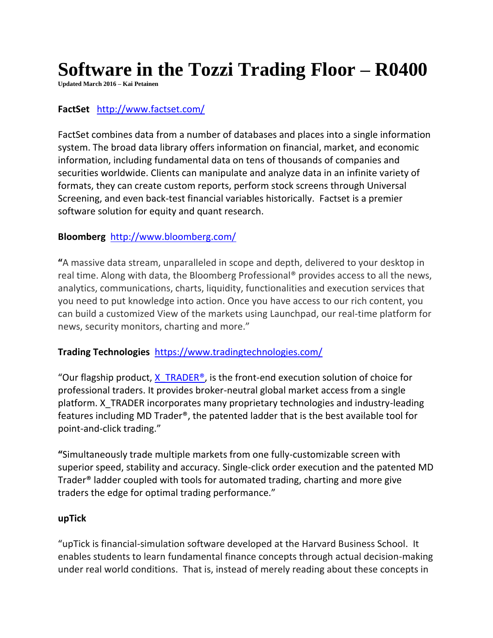# **Software in the Tozzi Trading Floor – R0400**

**Updated March 2016 – Kai Petainen**

## **FactSet** <http://www.factset.com/>

FactSet combines data from a number of databases and places into a single information system. The broad data library offers information on financial, market, and economic information, including fundamental data on tens of thousands of companies and securities worldwide. Clients can manipulate and analyze data in an infinite variety of formats, they can create custom reports, perform stock screens through Universal Screening, and even back-test financial variables historically. Factset is a premier software solution for equity and quant research.

#### **Bloomberg** <http://www.bloomberg.com/>

**"**A massive data stream, unparalleled in scope and depth, delivered to your desktop in real time. Along with data, the Bloomberg Professional® provides access to all the news, analytics, communications, charts, liquidity, functionalities and execution services that you need to put knowledge into action. Once you have access to our rich content, you can build a customized View of the markets using Launchpad, our real-time platform for news, security monitors, charting and more."

#### **Trading Technologies** <https://www.tradingtechnologies.com/>

"Our flagship product,  $X$  TRADER<sup>®</sup>, is the front-end execution solution of choice for professional traders. It provides broker-neutral global market access from a single platform. X\_TRADER incorporates many proprietary technologies and industry-leading features including MD Trader®, the patented ladder that is the best available tool for point-and-click trading."

**"**Simultaneously trade multiple markets from one fully-customizable screen with superior speed, stability and accuracy. Single-click order execution and the patented MD Trader® ladder coupled with tools for automated trading, charting and more give traders the edge for optimal trading performance."

#### **upTick**

"upTick is financial-simulation software developed at the Harvard Business School. It enables students to learn fundamental finance concepts through actual decision-making under real world conditions. That is, instead of merely reading about these concepts in